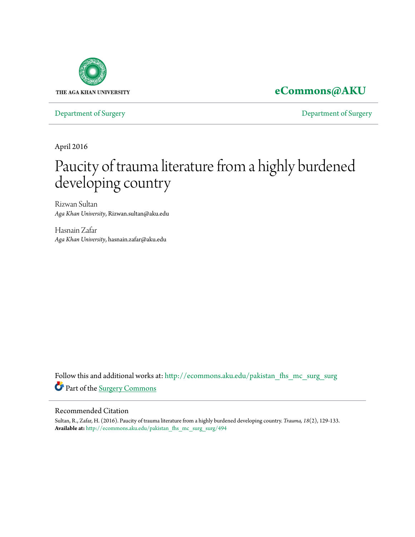

# **[eCommons@AKU](http://ecommons.aku.edu?utm_source=ecommons.aku.edu%2Fpakistan_fhs_mc_surg_surg%2F494&utm_medium=PDF&utm_campaign=PDFCoverPages)**

[Department of Surgery](http://ecommons.aku.edu/pakistan_fhs_mc_surg_surg?utm_source=ecommons.aku.edu%2Fpakistan_fhs_mc_surg_surg%2F494&utm_medium=PDF&utm_campaign=PDFCoverPages) [Department of Surgery](http://ecommons.aku.edu/pakistan_fhs_mc_surg?utm_source=ecommons.aku.edu%2Fpakistan_fhs_mc_surg_surg%2F494&utm_medium=PDF&utm_campaign=PDFCoverPages)

April 2016

# Paucity of trauma literature from a highly burdened developing country

Rizwan Sultan *Aga Khan University*, Rizwan.sultan@aku.edu

Hasnain Zafar *Aga Khan University*, hasnain.zafar@aku.edu

Follow this and additional works at: [http://ecommons.aku.edu/pakistan\\_fhs\\_mc\\_surg\\_surg](http://ecommons.aku.edu/pakistan_fhs_mc_surg_surg?utm_source=ecommons.aku.edu%2Fpakistan_fhs_mc_surg_surg%2F494&utm_medium=PDF&utm_campaign=PDFCoverPages) Part of the [Surgery Commons](http://network.bepress.com/hgg/discipline/706?utm_source=ecommons.aku.edu%2Fpakistan_fhs_mc_surg_surg%2F494&utm_medium=PDF&utm_campaign=PDFCoverPages)

# Recommended Citation

Sultan, R., Zafar, H. (2016). Paucity of trauma literature from a highly burdened developing country. *Trauma, 18*(2), 129-133. **Available at:** [http://ecommons.aku.edu/pakistan\\_fhs\\_mc\\_surg\\_surg/494](http://ecommons.aku.edu/pakistan_fhs_mc_surg_surg/494)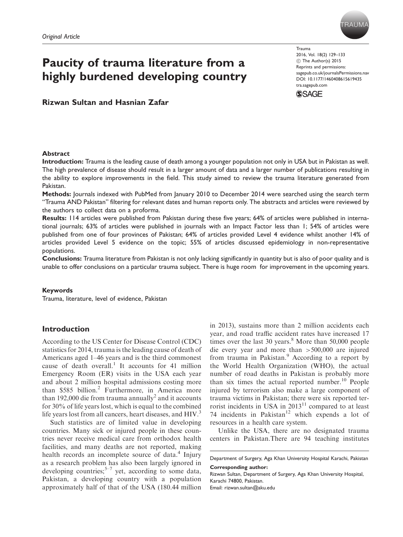

# Paucity of trauma literature from a highly burdened developing country

Rizwan Sultan and Hasnian Zafar

Trauma 2016, Vol. 18(2) 129–133 C The Author(s) 2015 Reprints and permissions: sagepub.co.uk/journalsPermissions.nav DOI: 10.1177/1460408615619435 tra.sagepub.com



#### Abstract

Introduction: Trauma is the leading cause of death among a younger population not only in USA but in Pakistan as well. The high prevalence of disease should result in a larger amount of data and a larger number of publications resulting in the ability to explore improvements in the field. This study aimed to review the trauma literature generated from Pakistan.

Methods: Journals indexed with PubMed from January 2010 to December 2014 were searched using the search term ''Trauma AND Pakistan'' filtering for relevant dates and human reports only. The abstracts and articles were reviewed by the authors to collect data on a proforma.

Results: 114 articles were published from Pakistan during these five years; 64% of articles were published in international journals; 63% of articles were published in journals with an Impact Factor less than 1; 54% of articles were published from one of four provinces of Pakistan; 64% of articles provided Level 4 evidence whilst another 14% of articles provided Level 5 evidence on the topic; 55% of articles discussed epidemiology in non-representative populations.

Conclusions: Trauma literature from Pakistan is not only lacking significantly in quantity but is also of poor quality and is unable to offer conclusions on a particular trauma subject. There is huge room for improvement in the upcoming years.

#### Keywords

Trauma, literature, level of evidence, Pakistan

### Introduction

According to the US Center for Disease Control (CDC) statistics for 2014, trauma is the leading cause of death of Americans aged 1–46 years and is the third commonest cause of death overall.<sup>1</sup> It accounts for 41 million Emergency Room (ER) visits in the USA each year and about 2 million hospital admissions costing more than \$585 billion.<sup>2</sup> Furthermore, in America more than 192,000 die from trauma annually<sup>2</sup> and it accounts for 30% of life years lost, which is equal to the combined life years lost from all cancers, heart diseases, and HIV.<sup>3</sup>

Such statistics are of limited value in developing countries. Many sick or injured people in these countries never receive medical care from orthodox health facilities, and many deaths are not reported, making health records an incomplete source of data.<sup>4</sup> Injury as a research problem has also been largely ignored in developing countries;<sup>5–7</sup> yet, according to some data, Pakistan, a developing country with a population approximately half of that of the USA (180.44 million

in 2013), sustains more than 2 million accidents each year, and road traffic accident rates have increased 17 times over the last 30 years. $8$  More than 50,000 people die every year and more than >500,000 are injured from trauma in Pakistan.<sup>9</sup> According to a report by the World Health Organization (WHO), the actual number of road deaths in Pakistan is probably more than six times the actual reported number.<sup>10</sup> People injured by terrorism also make a large component of trauma victims in Pakistan; there were six reported terrorist incidents in USA in  $2013<sup>11</sup>$  compared to at least 74 incidents in Pakistan<sup>12</sup> which expends a lot of resources in a health care system.

Unlike the USA, there are no designated trauma centers in Pakistan.There are 94 teaching institutes

Email: rizwan.sultan@aku.edu

Department of Surgery, Aga Khan University Hospital Karachi, Pakistan Corresponding author:

Rizwan Sultan, Department of Surgery, Aga Khan University Hospital, Karachi 74800, Pakistan.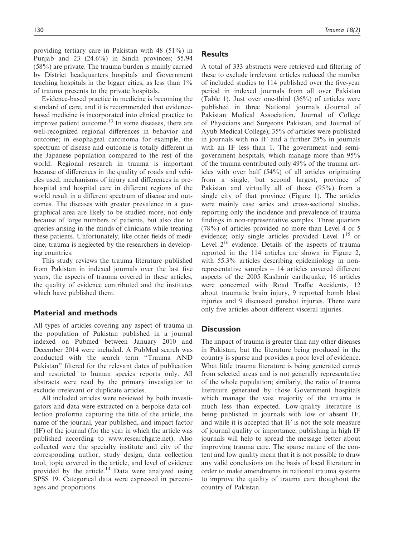providing tertiary care in Pakistan with 48 (51%) in Punjab and 23 (24.6%) in Sindh provinces; 55/94 (58%) are private. The trauma burden is mainly carried by District headquarters hospitals and Government teaching hospitals in the bigger cities, as less than 1% of trauma presents to the private hospitals.

Evidence-based practice in medicine is becoming the standard of care, and it is recommended that evidencebased medicine is incorporated into clinical practice to improve patient outcome.<sup>13</sup> In some diseases, there are well-recognized regional differences in behavior and outcome; in esophageal carcinoma for example, the spectrum of disease and outcome is totally different in the Japanese population compared to the rest of the world. Regional research in trauma is important because of differences in the quality of roads and vehicles used, mechanisms of injury and differences in prehospital and hospital care in different regions of the world result in a different spectrum of disease and outcomes. The diseases with greater prevalence in a geographical area are likely to be studied more, not only because of large numbers of patients, but also due to queries arising in the minds of clinicians while treating these patients. Unfortunately, like other fields of medicine, trauma is neglected by the researchers in developing countries.

This study reviews the trauma literature published from Pakistan in indexed journals over the last five years, the aspects of trauma covered in these articles, the quality of evidence contributed and the institutes which have published them.

## Material and methods

All types of articles covering any aspect of trauma in the population of Pakistan published in a journal indexed on Pubmed between January 2010 and December 2014 were included. A PubMed search was conducted with the search term ''Trauma AND Pakistan'' filtered for the relevant dates of publication and restricted to human species reports only. All abstracts were read by the primary investigator to exclude irrelevant or duplicate articles.

All included articles were reviewed by both investigators and data were extracted on a bespoke data collection proforma capturing the title of the article, the name of the journal, year published, and impact factor (IF) of the journal (for the year in which the article was published according to www.researchgate.net). Also collected were the specialty institute and city of the corresponding author, study design, data collection tool, topic covered in the article, and level of evidence provided by the article.<sup>14</sup> Data were analyzed using SPSS 19. Categorical data were expressed in percentages and proportions.

# **Results**

A total of 333 abstracts were retrieved and filtering of these to exclude irrelevant articles reduced the number of included studies to 114 published over the five-year period in indexed journals from all over Pakistan (Table 1). Just over one-third (36%) of articles were published in three National journals (Journal of Pakistan Medical Association, Journal of College of Physicians and Surgeons Pakistan, and Journal of Ayub Medical College); 35% of articles were published in journals with no IF and a further 28% in journals with an IF less than 1. The government and semigovernment hospitals, which manage more than 95% of the trauma contributed only 49% of the trauma articles with over half (54%) of all articles originating from a single, but second largest, province of Pakistan and virtually all of those (95%) from a single city of that province (Figure 1). The articles were mainly case series and cross-sectional studies, reporting only the incidence and prevalence of trauma findings in non-representative samples. Three quarters (78%) of articles provided no more than Level 4 or 5 evidence; only single articles provided Level  $1^{15}$  or Level  $2^{16}$  evidence. Details of the aspects of trauma reported in the 114 articles are shown in Figure 2, with 55.3% articles describing epidemiology in nonrepresentative samples – 14 articles covered different aspects of the 2005 Kashmir earthquake, 16 articles were concerned with Road Traffic Accidents, 12 about traumatic brain injury, 9 reported bomb blast injuries and 9 discussed gunshot injuries. There were only five articles about different visceral injuries.

# **Discussion**

The impact of trauma is greater than any other diseases in Pakistan, but the literature being produced in the country is sparse and provides a poor level of evidence. What little trauma literature is being generated comes from selected areas and is not generally representative of the whole population; similarly, the ratio of trauma literature generated by those Government hospitals which manage the vast majority of the trauma is much less than expected. Low-quality literature is being published in journals with low or absent IF, and while it is accepted that IF is not the sole measure of journal quality or importance, publishing in high IF journals will help to spread the message better about improving trauma care. The sparse nature of the content and low quality mean that it is not possible to draw any valid conclusions on the basis of local literature in order to make amendments in national trauma systems to improve the quality of trauma care thoughout the country of Pakistan.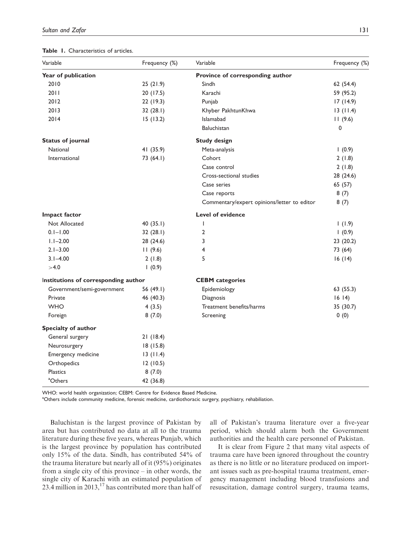Table 1. Characteristics of articles.

| Variable                             | Frequency (%) | Variable                                    | Frequency (%) |
|--------------------------------------|---------------|---------------------------------------------|---------------|
| Year of publication                  |               | Province of corresponding author            |               |
| 2010                                 | 25(21.9)      | Sindh                                       | 62 (54.4)     |
| 2011                                 | 20 (17.5)     | Karachi                                     | 59 (95.2)     |
| 2012                                 | 22 (19.3)     | Punjab                                      | 17(14.9)      |
| 2013                                 | 32(28.1)      | Khyber PakhtunKhwa                          | 13(11.4)      |
| 2014                                 | 15(13.2)      | Islamabad                                   | 11(9.6)       |
|                                      |               | <b>Baluchistan</b>                          | 0             |
| <b>Status of journal</b>             |               | <b>Study design</b>                         |               |
| <b>National</b>                      | 41 (35.9)     | Meta-analysis                               | 1(0.9)        |
| International                        | 73 (64.1)     | Cohort                                      | 2(1.8)        |
|                                      |               | Case control                                | 2(1.8)        |
|                                      |               | Cross-sectional studies                     | 28 (24.6)     |
|                                      |               | Case series                                 | 65 (57)       |
|                                      |               | Case reports                                | 8(7)          |
|                                      |               | Commentary/expert opinions/letter to editor | 8(7)          |
| <b>Impact factor</b>                 |               | <b>Level of evidence</b>                    |               |
| Not Allocated                        | 40 $(35.1)$   | T                                           | 1(1.9)        |
| $0.1 - 1.00$                         | 32(28.1)      | 2                                           | 1(0.9)        |
| $1.1 - 2.00$                         | 28 (24.6)     | 3                                           | 23 (20.2)     |
| $2.1 - 3.00$                         | 11(9.6)       | 4                                           | 73 (64)       |
| $3.1 - 4.00$                         | 2(1.8)        | 5                                           | 16(14)        |
| $>\!4.0$                             | 1(0.9)        |                                             |               |
| Institutions of corresponding author |               | <b>CEBM</b> categories                      |               |
| Government/semi-government           | 56 (49.1)     | Epidemiology                                | 63(55.3)      |
| Private                              | 46 (40.3)     | Diagnosis                                   | $16 \; 14)$   |
| <b>WHO</b>                           | 4(3.5)        | Treatment benefits/harms                    | 35 (30.7)     |
| Foreign                              | 8(7.0)        | Screening                                   | 0(0)          |
| Specialty of author                  |               |                                             |               |
| General surgery                      | 21(18.4)      |                                             |               |
| Neurosurgery                         | 18(15.8)      |                                             |               |
| Emergency medicine                   | 13(11.4)      |                                             |               |
| Orthopedics                          | 12(10.5)      |                                             |               |
| <b>Plastics</b>                      | 8(7.0)        |                                             |               |
| <sup>a</sup> Others                  | 42 (36.8)     |                                             |               |

WHO: world health organization; CEBM: Centre for Evidence Based Medicine.

<sup>a</sup>Others include community medicine, forensic medicine, cardiothoracic surgery, psychiatry, rehabiliation.

Baluchistan is the largest province of Pakistan by area but has contributed no data at all to the trauma literature during these five years, whereas Punjab, which is the largest province by population has contributed only 15% of the data. Sindh, has contributed 54% of the trauma literature but nearly all of it (95%) originates from a single city of this province – in other words, the single city of Karachi with an estimated population of 23.4 million in 2013,<sup>17</sup> has contributed more than half of all of Pakistan's trauma literature over a five-year period, which should alarm both the Government authorities and the health care personnel of Pakistan.

It is clear from Figure 2 that many vital aspects of trauma care have been ignored throughout the country as there is no little or no literature produced on important issues such as pre-hospital trauma treatment, emergency management including blood transfusions and resuscitation, damage control surgery, trauma teams,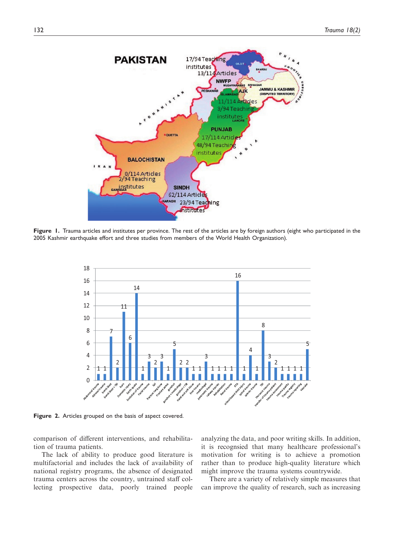

Figure 1. Trauma articles and institutes per province. The rest of the articles are by foreign authors (eight who participated in the 2005 Kashmir earthquake effort and three studies from members of the World Health Organization).



Figure 2. Articles grouped on the basis of aspect covered.

comparison of different interventions, and rehabilitation of trauma patients.

The lack of ability to produce good literature is multifactorial and includes the lack of availability of national registry programs, the absence of designated trauma centers across the country, untrained staff collecting prospective data, poorly trained people analyzing the data, and poor writing skills. In addition, it is recognsied that many healthcare professional's motivation for writing is to achieve a promotion rather than to produce high-quality literature which might improve the trauma systems countrywide.

There are a variety of relatively simple measures that can improve the quality of research, such as increasing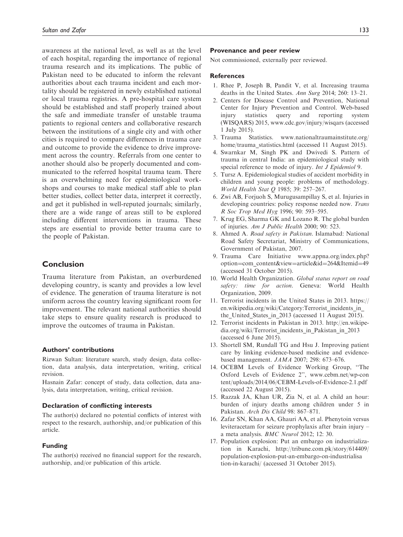awareness at the national level, as well as at the level of each hospital, regarding the importance of regional trauma research and its implications. The public of Pakistan need to be educated to inform the relevant authorities about each trauma incident and each mortality should be registered in newly established national or local trauma registries. A pre-hospital care system should be established and staff properly trained about the safe and immediate transfer of unstable trauma patients to regional centers and collaborative research between the institutions of a single city and with other cities is required to compare differences in trauma care and outcome to provide the evidence to drive improvement across the country. Referrals from one center to another should also be properly documented and communicated to the referred hospital trauma team. There is an overwhelming need for epidemiological workshops and courses to make medical staff able to plan better studies, collect better data, interpret it correctly, and get it published in well-reputed journals; similarly, there are a wide range of areas still to be explored including different interventions in trauma. These steps are essential to provide better trauma care to the people of Pakistan.

## Conclusion

Trauma literature from Pakistan, an overburdened developing country, is scanty and provides a low level of evidence. The generation of trauma literature is not uniform across the country leaving significant room for improvement. The relevant national authorities should take steps to ensure quality research is produced to improve the outcomes of trauma in Pakistan.

#### Authors' contributions

Rizwan Sultan: literature search, study design, data collection, data analysis, data interpretation, writing, critical revision.

Hasnain Zafar: concept of study, data collection, data analysis, data interpretation, writing, critical revision.

#### Declaration of conflicting interests

The author(s) declared no potential conflicts of interest with respect to the research, authorship, and/or publication of this article.

#### Funding

The author(s) received no financial support for the research, authorship, and/or publication of this article.

#### Provenance and peer review

Not commissioned, externally peer reviewed.

#### References

- 1. Rhee P, Joseph B, Pandit V, et al. Increasing trauma deaths in the United States. Ann Surg 2014; 260: 13–21.
- 2. Centers for Disease Control and Prevention, National Center for Injury Prevention and Control. Web-based injury statistics query and reporting system (WISQARS) 2015, www.cdc.gov/injury/wisqars (accessed 1 July 2015).
- 3. Trauma Statistics. www.nationaltraumainstitute.org/ home/trauma\_statistics.html (accessed 11 August 2015).
- 4. Swarnkar M, Singh PK and Dwivedi S. Pattern of trauma in central India: an epidemiological study with special reference to mode of injury. Int J Epidemiol 9.
- 5. Tursz A. Epidemiological studies of accident morbidity in children and young people: problems of methodology. World Health Stat Q 1985; 39: 257–267.
- 6. Zwi AB, Forjuoh S, Murugusampillay S, et al. Injuries in developing countries: policy response needed now. Trans R Soc Trop Med Hyg 1996; 90: 593–595.
- 7. Krug EG, Sharma GK and Lozano R. The global burden of injuries. Am J Public Health 2000; 90: 523.
- 8. Ahmed A. Road safety in Pakistan. Islamabad: National Road Safety Secretariat, Ministry of Communications, Government of Pakistan, 2007.
- 9. Trauma Care Initiative www.appna.org/index.php? option=com\_content&view=article&id=264&Itemid=49 (accessed 31 October 2015).
- 10. World Health Organization. Global status report on road safety: time for action. Geneva: World Health Organization, 2009.
- 11. Terrorist incidents in the United States in 2013. https:// en.wikipedia.org/wiki/Category:Terrorist\_incidents\_in\_ the\_United\_States\_in\_2013 (accessed 11 August 2015).
- 12. Terrorist incidents in Pakistan in 2013. http://en.wikipedia.org/wiki/Terrorist\_incidents\_in\_Pakistan\_in\_2013 (accessed 6 June 2015).
- 13. Shortell SM, Rundall TG and Hsu J. Improving patient care by linking evidence-based medicine and evidencebased management. JAMA 2007; 298: 673–676.
- 14. OCEBM Levels of Evidence Working Group, ''The Oxford Levels of Evidence 2'', www.cebm.net/wp-con tent/uploads/2014/06/CEBM-Levels-of-Evidence-2.1.pdf (accessed 22 August 2015).
- 15. Razzak JA, Khan UR, Zia N, et al. A child an hour: burden of injury deaths among children under 5 in Pakistan. Arch Dis Child 98: 867–871.
- 16. Zafar SN, Khan AA, Ghauri AA, et al. Phenytoin versus leviteracetam for seizure prophylaxis after brain injury – a meta analysis. BMC Neurol 2012; 12: 30.
- 17. Population explosion: Put an embargo on industrialization in Karachi, http://tribune.com.pk/story/614409/ population-explosion-put-an-embargo-on-industrialisa tion-in-karachi/ (accessed 31 October 2015).